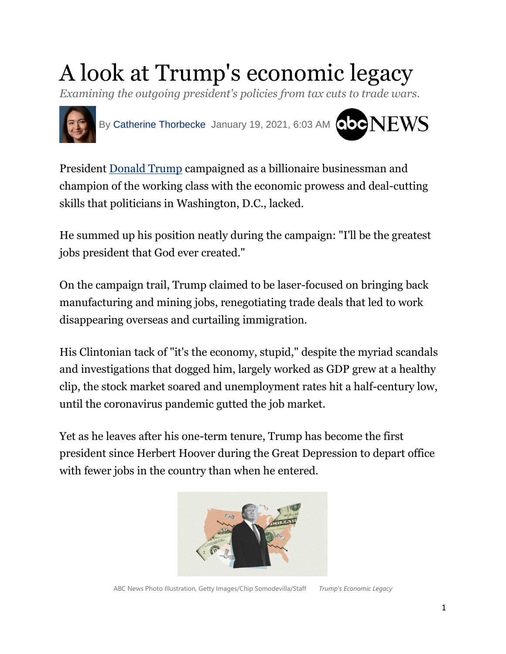# A look at Trump's economic legacy

*Examining the outgoing president's policies from tax cuts to trade wars.*



President [Donald](https://abcnews.go.com/alerts/donald-trump) Trump campaigned as a billionaire businessman and champion of the working class with the economic prowess and deal-cutting skills that politicians in Washington, D.C., lacked.

He summed up his position neatly during the campaign: "I'll be the greatest jobs president that God ever created."

On the campaign trail, Trump claimed to be laser-focused on bringing back manufacturing and mining jobs, renegotiating trade deals that led to work disappearing overseas and curtailing immigration.

His Clintonian tack of "it's the economy, stupid," despite the myriad scandals and investigations that dogged him, largely worked as GDP grew at a healthy clip, the stock market soared and unemployment rates hit a half-century low, until the coronavirus pandemic gutted the job market.

Yet as he leaves after his one-term tenure, Trump has become the first president since Herbert Hoover during the Great Depression to depart office with fewer jobs in the country than when he entered.

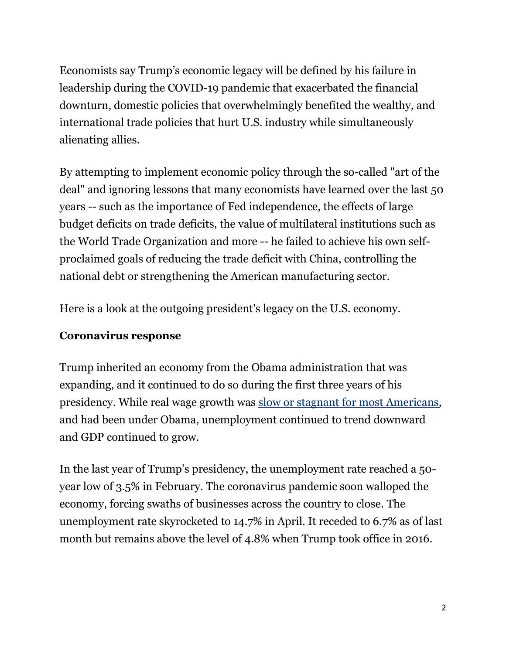Economists say Trump's economic legacy will be defined by his failure in leadership during the COVID-19 pandemic that exacerbated the financial downturn, domestic policies that overwhelmingly benefited the wealthy, and international trade policies that hurt U.S. industry while simultaneously alienating allies.

By attempting to implement economic policy through the so-called "art of the deal" and ignoring lessons that many economists have learned over the last 50 years -- such as the importance of Fed independence, the effects of large budget deficits on trade deficits, the value of multilateral institutions such as the World Trade Organization and more -- he failed to achieve his own selfproclaimed goals of reducing the trade deficit with China, controlling the national debt or strengthening the American manufacturing sector.

Here is a look at the outgoing president's legacy on the U.S. economy.

## **Coronavirus response**

Trump inherited an economy from the Obama administration that was expanding, and it continued to do so during the first three years of his presidency. While real wage growth was slow or stagnant for most [Americans,](https://www.pewresearch.org/fact-tank/2018/08/07/for-most-us-workers-real-wages-have-barely-budged-for-decades/) and had been under Obama, unemployment continued to trend downward and GDP continued to grow.

In the last year of Trump's presidency, the unemployment rate reached a 50 year low of 3.5% in February. The coronavirus pandemic soon walloped the economy, forcing swaths of businesses across the country to close. The unemployment rate skyrocketed to 14.7% in April. It receded to 6.7% as of last month but remains above the level of 4.8% when Trump took office in 2016.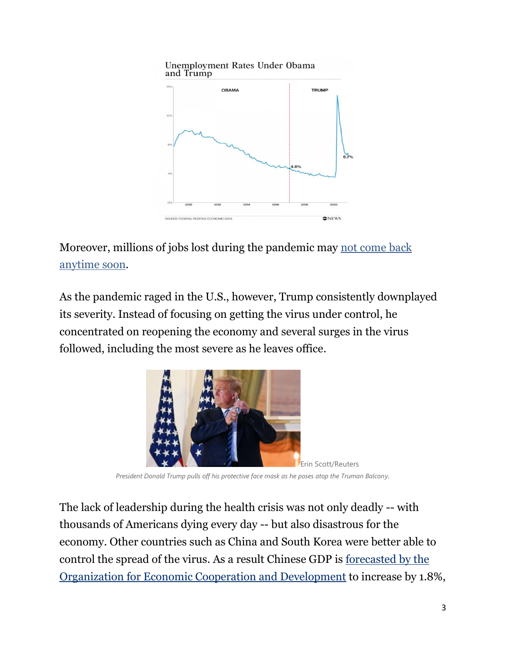

Moreover, millions of jobs lost during the pandemic may not [come](https://abcnews.go.com/Business/unemployment-rate-remains-67-employers-cut-140000-jobs/story?id=75109266) back [anytime](https://abcnews.go.com/Business/unemployment-rate-remains-67-employers-cut-140000-jobs/story?id=75109266) soon.

As the pandemic raged in the U.S., however, Trump consistently downplayed its severity. Instead of focusing on getting the virus under control, he concentrated on reopening the economy and several surges in the virus followed, including the most severe as he leaves office.



*President Donald Trump pulls off his protective face mask as he poses atop the Truman Balcony.*

The lack of leadership during the health crisis was not only deadly -- with thousands of Americans dying every day -- but also disastrous for the economy. Other countries such as China and South Korea were better able to control the spread of the virus. As a result Chinese GDP is [forecasted](http://www.oecd.org/economic-outlook) by the Organization for Economic Cooperation and [Development](http://www.oecd.org/economic-outlook) to increase by 1.8%,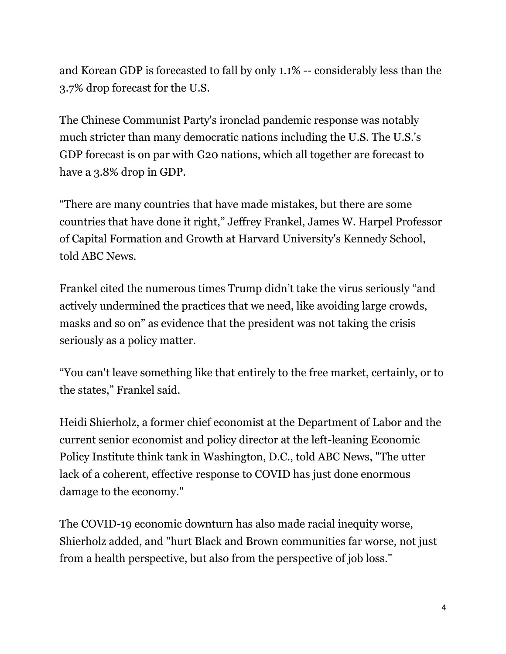and Korean GDP is forecasted to fall by only 1.1% -- considerably less than the 3.7% drop forecast for the U.S.

The Chinese Communist Party's ironclad pandemic response was notably much stricter than many democratic nations including the U.S. The U.S.'s GDP forecast is on par with G20 nations, which all together are forecast to have a 3.8% drop in GDP.

"There are many countries that have made mistakes, but there are some countries that have done it right," Jeffrey Frankel, James W. Harpel Professor of Capital Formation and Growth at Harvard University's Kennedy School, told ABC News.

Frankel cited the numerous times Trump didn't take the virus seriously "and actively undermined the practices that we need, like avoiding large crowds, masks and so on" as evidence that the president was not taking the crisis seriously as a policy matter.

"You can't leave something like that entirely to the free market, certainly, or to the states," Frankel said.

Heidi Shierholz, a former chief economist at the Department of Labor and the current senior economist and policy director at the left-leaning Economic Policy Institute think tank in Washington, D.C., told ABC News, "The utter lack of a coherent, effective response to COVID has just done enormous damage to the economy."

The COVID-19 economic downturn has also made racial inequity worse, Shierholz added, and "hurt Black and Brown communities far worse, not just from a health perspective, but also from the perspective of job loss."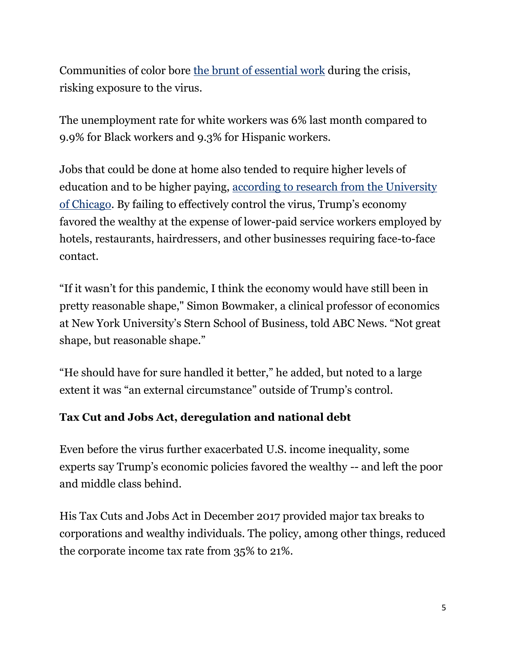Communities of color bore the brunt of [essential](https://abcnews.go.com/Business/heroes-hostages-communities-color-bear-burden-essential-work/story?id=70662472) work during the crisis, risking exposure to the virus.

The unemployment rate for white workers was 6% last month compared to 9.9% for Black workers and 9.3% for Hispanic workers.

Jobs that could be done at home also tended to require higher levels of education and to be higher paying, according to research from the [University](https://bfi.uchicago.edu/wp-content/uploads/BFI_White-Paper_Dingel_Neiman_3.2020.pdf) of [Chicago](https://bfi.uchicago.edu/wp-content/uploads/BFI_White-Paper_Dingel_Neiman_3.2020.pdf). By failing to effectively control the virus, Trump's economy favored the wealthy at the expense of lower-paid service workers employed by hotels, restaurants, hairdressers, and other businesses requiring face-to-face contact.

"If it wasn't for this pandemic, I think the economy would have still been in pretty reasonable shape," Simon Bowmaker, a clinical professor of economics at New York University's Stern School of Business, told ABC News. "Not great shape, but reasonable shape."

"He should have for sure handled it better," he added, but noted to a large extent it was "an external circumstance" outside of Trump's control.

### **Tax Cut and Jobs Act, deregulation and national debt**

Even before the virus further exacerbated U.S. income inequality, some experts say Trump's economic policies favored the wealthy -- and left the poor and middle class behind.

His Tax Cuts and Jobs Act in December 2017 provided major tax breaks to corporations and wealthy individuals. The policy, among other things, reduced the corporate income tax rate from 35% to 21%.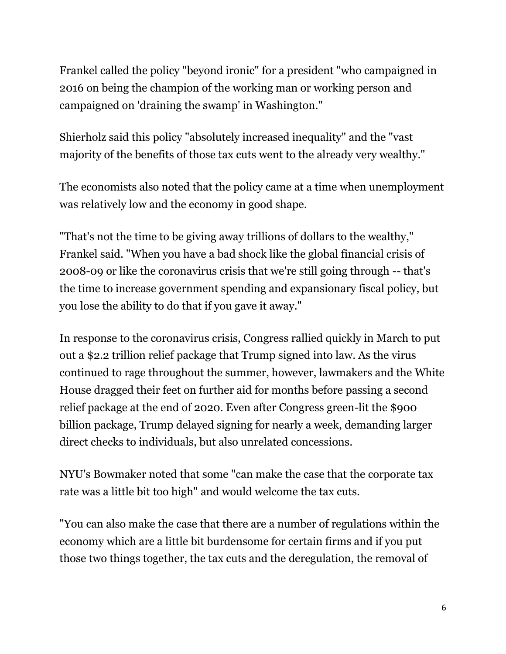Frankel called the policy "beyond ironic" for a president "who campaigned in 2016 on being the champion of the working man or working person and campaigned on 'draining the swamp' in Washington."

Shierholz said this policy "absolutely increased inequality" and the "vast majority of the benefits of those tax cuts went to the already very wealthy."

The economists also noted that the policy came at a time when unemployment was relatively low and the economy in good shape.

"That's not the time to be giving away trillions of dollars to the wealthy," Frankel said. "When you have a bad shock like the global financial crisis of 2008-09 or like the coronavirus crisis that we're still going through -- that's the time to increase government spending and expansionary fiscal policy, but you lose the ability to do that if you gave it away."

In response to the coronavirus crisis, Congress rallied quickly in March to put out a \$2.2 trillion relief package that Trump signed into law. As the virus continued to rage throughout the summer, however, lawmakers and the White House dragged their feet on further aid for months before passing a second relief package at the end of 2020. Even after Congress green-lit the \$900 billion package, Trump delayed signing for nearly a week, demanding larger direct checks to individuals, but also unrelated concessions.

NYU's Bowmaker noted that some "can make the case that the corporate tax rate was a little bit too high" and would welcome the tax cuts.

"You can also make the case that there are a number of regulations within the economy which are a little bit burdensome for certain firms and if you put those two things together, the tax cuts and the deregulation, the removal of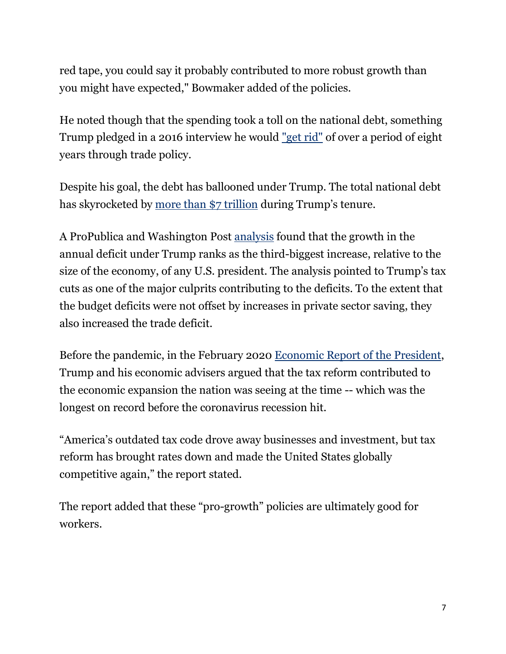red tape, you could say it probably contributed to more robust growth than you might have expected," Bowmaker added of the policies.

He noted though that the spending took a toll on the national debt, something Trump pledged in a 2016 interview he would ["get](https://www.washingtonpost.com/news/post-politics/wp/2016/04/02/transcript-donald-trump-interview-with-bob-woodward-and-robert-costa/) rid" of over a period of eight years through trade policy.

Despite his goal, the debt has ballooned under Trump. The total national debt has skyrocketed by more than \$7 [trillion](https://www.treasurydirect.gov/govt/reports/pd/pd_debttothepenny.htm) during Trump's tenure.

A ProPublica and Washington Post [analysis](https://www.propublica.org/article/national-debt-trump) found that the growth in the annual deficit under Trump ranks as the third-biggest increase, relative to the size of the economy, of any U.S. president. The analysis pointed to Trump's tax cuts as one of the major culprits contributing to the deficits. To the extent that the budget deficits were not offset by increases in private sector saving, they also increased the trade deficit.

Before the pandemic, in the February 2020 [Economic](https://www.whitehouse.gov/wp-content/uploads/2020/02/2020-Economic-Report-of-the-President-WHCEA.pdf) Report of the President, Trump and his economic advisers argued that the tax reform contributed to the economic expansion the nation was seeing at the time -- which was the longest on record before the coronavirus recession hit.

"America's outdated tax code drove away businesses and investment, but tax reform has brought rates down and made the United States globally competitive again," the report stated.

The report added that these "pro-growth" policies are ultimately good for workers.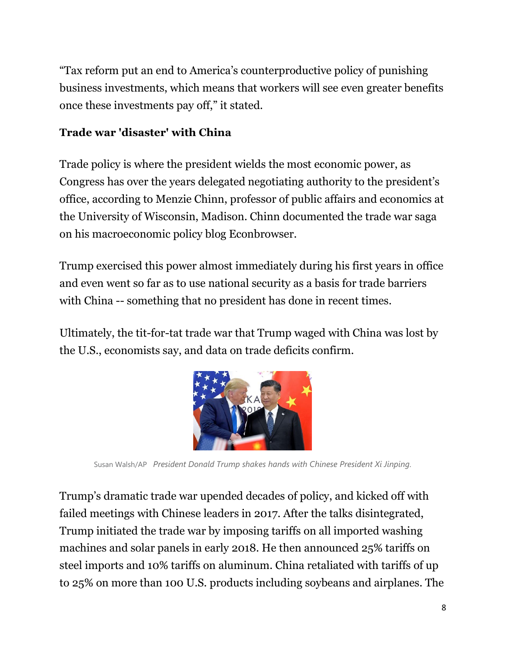"Tax reform put an end to America's counterproductive policy of punishing business investments, which means that workers will see even greater benefits once these investments pay off," it stated.

## **Trade war 'disaster' with China**

Trade policy is where the president wields the most economic power, as Congress has over the years delegated negotiating authority to the president's office, according to Menzie Chinn, professor of public affairs and economics at the University of Wisconsin, Madison. Chinn documented the trade war saga on his macroeconomic policy blog Econbrowser.

Trump exercised this power almost immediately during his first years in office and even went so far as to use national security as a basis for trade barriers with China -- something that no president has done in recent times.

Ultimately, the tit-for-tat trade war that Trump waged with China was lost by the U.S., economists say, and data on trade deficits confirm.



Susan Walsh/AP *President Donald Trump shakes hands with Chinese President Xi Jinping.*

Trump's dramatic trade war upended decades of policy, and kicked off with failed meetings with Chinese leaders in 2017. After the talks disintegrated, Trump initiated the trade war by imposing tariffs on all imported washing machines and solar panels in early 2018. He then announced 25% tariffs on steel imports and 10% tariffs on aluminum. China retaliated with tariffs of up to 25% on more than 100 U.S. products including soybeans and airplanes. The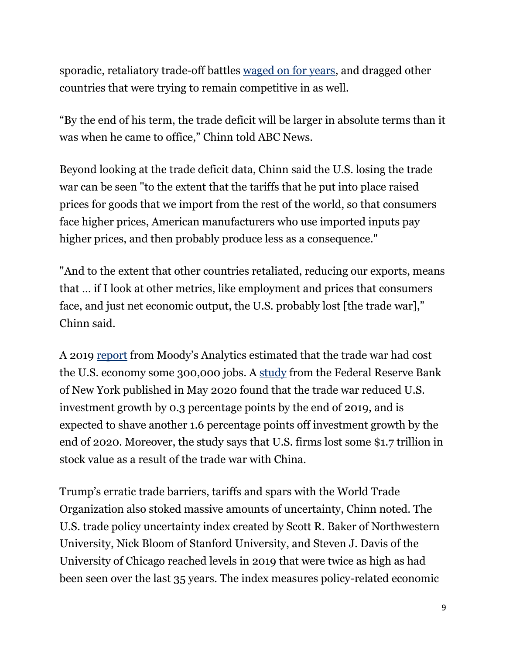sporadic, retaliatory trade-off battles [waged](https://www.piie.com/sites/default/files/documents/trump-trade-war-timeline.pdf) on for years, and dragged other countries that were trying to remain competitive in as well.

"By the end of his term, the trade deficit will be larger in absolute terms than it was when he came to office," Chinn told ABC News.

Beyond looking at the trade deficit data, Chinn said the U.S. losing the trade war can be seen "to the extent that the tariffs that he put into place raised prices for goods that we import from the rest of the world, so that consumers face higher prices, American manufacturers who use imported inputs pay higher prices, and then probably produce less as a consequence."

"And to the extent that other countries retaliated, reducing our exports, means that … if I look at other metrics, like employment and prices that consumers face, and just net economic output, the U.S. probably lost [the trade war]," Chinn said.

A 2019 [report](https://www.moodysanalytics.com/-/media/article/2019/trade-war-chicken.pdf) from Moody's Analytics estimated that the trade war had cost the U.S. economy some 300,000 jobs. A [study](https://libertystreeteconomics.newyorkfed.org/2020/05/the-investment-cost-of-the-us-china-trade-war.html) from the Federal Reserve Bank of New York published in May 2020 found that the trade war reduced U.S. investment growth by 0.3 percentage points by the end of 2019, and is expected to shave another 1.6 percentage points off investment growth by the end of 2020. Moreover, the study says that U.S. firms lost some \$1.7 trillion in stock value as a result of the trade war with China.

Trump's erratic trade barriers, tariffs and spars with the World Trade Organization also stoked massive amounts of uncertainty, Chinn noted. The U.S. trade policy uncertainty index created by Scott R. Baker of Northwestern University, Nick Bloom of Stanford University, and Steven J. Davis of the University of Chicago reached levels in 2019 that were twice as high as had been seen over the last 35 years. The index measures policy-related economic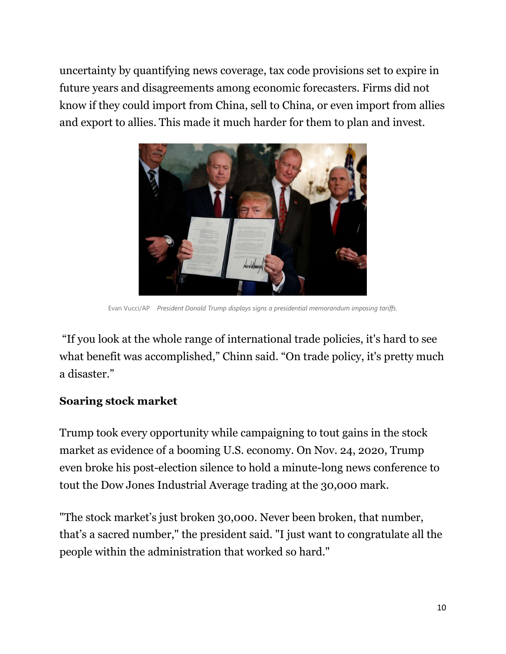uncertainty by quantifying news coverage, tax code provisions set to expire in future years and disagreements among economic forecasters. Firms did not know if they could import from China, sell to China, or even import from allies and export to allies. This made it much harder for them to plan and invest.



Evan Vucci/AP *President Donald Trump displays signs a presidential memorandum imposing tariffs.*

"If you look at the whole range of international trade policies, it's hard to see what benefit was accomplished," Chinn said. "On trade policy, it's pretty much a disaster."

#### **Soaring stock market**

Trump took every opportunity while campaigning to tout gains in the stock market as evidence of a booming U.S. economy. On Nov. 24, 2020, Trump even broke his post-election silence to hold a minute-long news conference to tout the Dow Jones Industrial Average trading at the 30,000 mark.

"The stock market's just broken 30,000. Never been broken, that number, that's a sacred number," the president said. "I just want to congratulate all the people within the administration that worked so hard."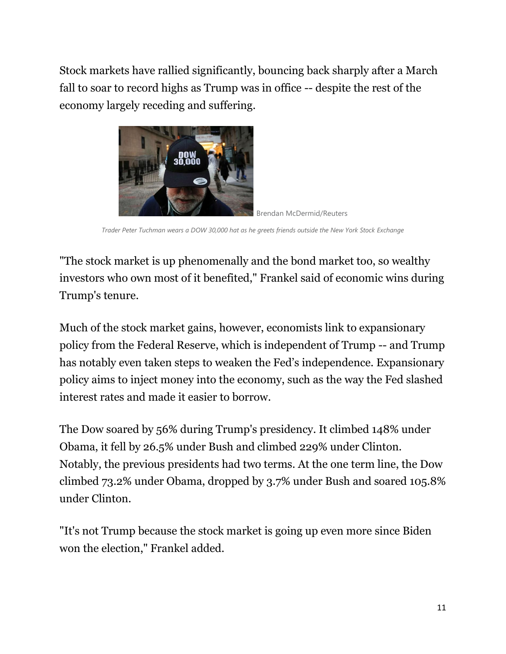Stock markets have rallied significantly, bouncing back sharply after a March fall to soar to record highs as Trump was in office -- despite the rest of the economy largely receding and suffering.



Brendan McDermid/Reuters

*Trader Peter Tuchman wears a DOW 30,000 hat as he greets friends outside the New York Stock Exchange*

"The stock market is up phenomenally and the bond market too, so wealthy investors who own most of it benefited," Frankel said of economic wins during Trump's tenure.

Much of the stock market gains, however, economists link to expansionary policy from the Federal Reserve, which is independent of Trump -- and Trump has notably even taken steps to weaken the Fed's independence. Expansionary policy aims to inject money into the economy, such as the way the Fed slashed interest rates and made it easier to borrow.

The Dow soared by 56% during Trump's presidency. It climbed 148% under Obama, it fell by 26.5% under Bush and climbed 229% under Clinton. Notably, the previous presidents had two terms. At the one term line, the Dow climbed 73.2% under Obama, dropped by 3.7% under Bush and soared 105.8% under Clinton.

"It's not Trump because the stock market is going up even more since Biden won the election," Frankel added.